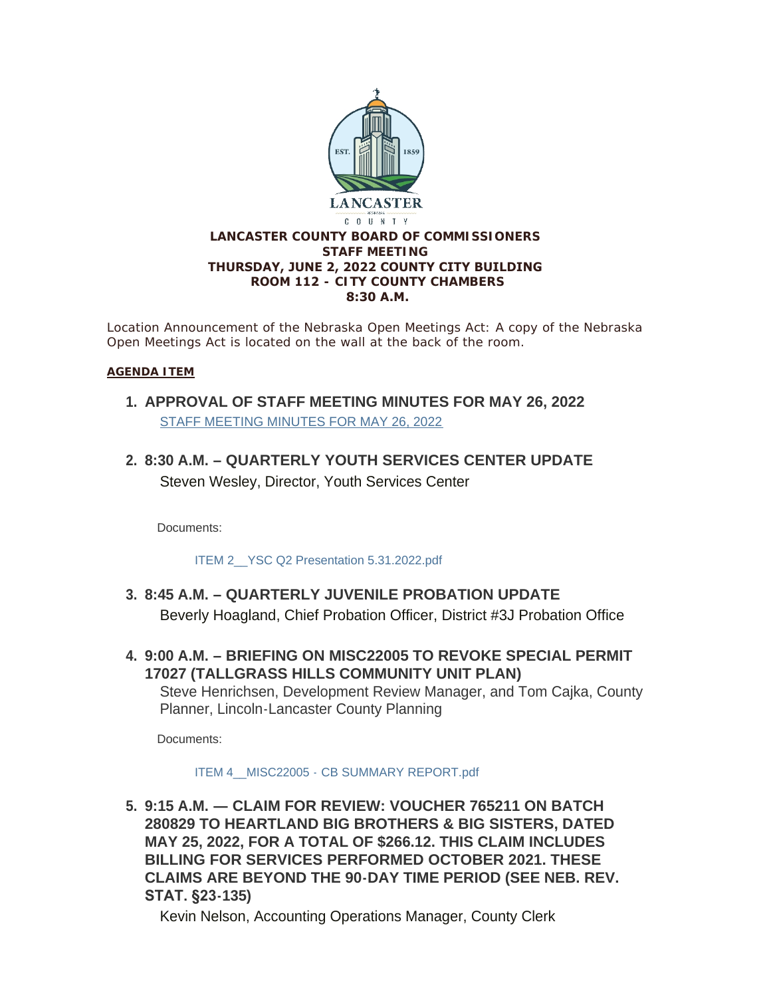

*Location Announcement of the Nebraska Open Meetings Act: A copy of the Nebraska Open Meetings Act is located on the wall at the back of the room.*

#### **AGENDA ITEM**

- **APPROVAL OF STAFF MEETING MINUTES FOR MAY 26, 2022 1.** [STAFF MEETING MINUTES FOR MAY 26, 2022](https://www.lancaster.ne.gov/AgendaCenter/ViewFile/Minutes/_05262022-1618)
- **8:30 A.M. – QUARTERLY YOUTH SERVICES CENTER UPDATE 2.** Steven Wesley, Director, Youth Services Center

Documents:

[ITEM 2\\_\\_YSC Q2 Presentation 5.31.2022.pdf](https://www.lancaster.ne.gov/AgendaCenter/ViewFile/Item/5872?fileID=8349)

- **8:45 A.M. – QUARTERLY JUVENILE PROBATION UPDATE 3.** Beverly Hoagland, Chief Probation Officer, District #3J Probation Office
- **9:00 A.M. – BRIEFING ON MISC22005 TO REVOKE SPECIAL PERMIT 4. 17027 (TALLGRASS HILLS COMMUNITY UNIT PLAN)** Steve Henrichsen, Development Review Manager, and Tom Cajka, County Planner, Lincoln-Lancaster County Planning

Documents:

#### ITEM 4 MISC22005 - [CB SUMMARY REPORT.pdf](https://www.lancaster.ne.gov/AgendaCenter/ViewFile/Item/5874?fileID=8350)

**9:15 A.M. — CLAIM FOR REVIEW: VOUCHER 765211 ON BATCH 5. 280829 TO HEARTLAND BIG BROTHERS & BIG SISTERS, DATED MAY 25, 2022, FOR A TOTAL OF \$266.12. THIS CLAIM INCLUDES BILLING FOR SERVICES PERFORMED OCTOBER 2021. THESE CLAIMS ARE BEYOND THE 90-DAY TIME PERIOD (SEE NEB. REV. STAT. §23-135)**

Kevin Nelson, Accounting Operations Manager, County Clerk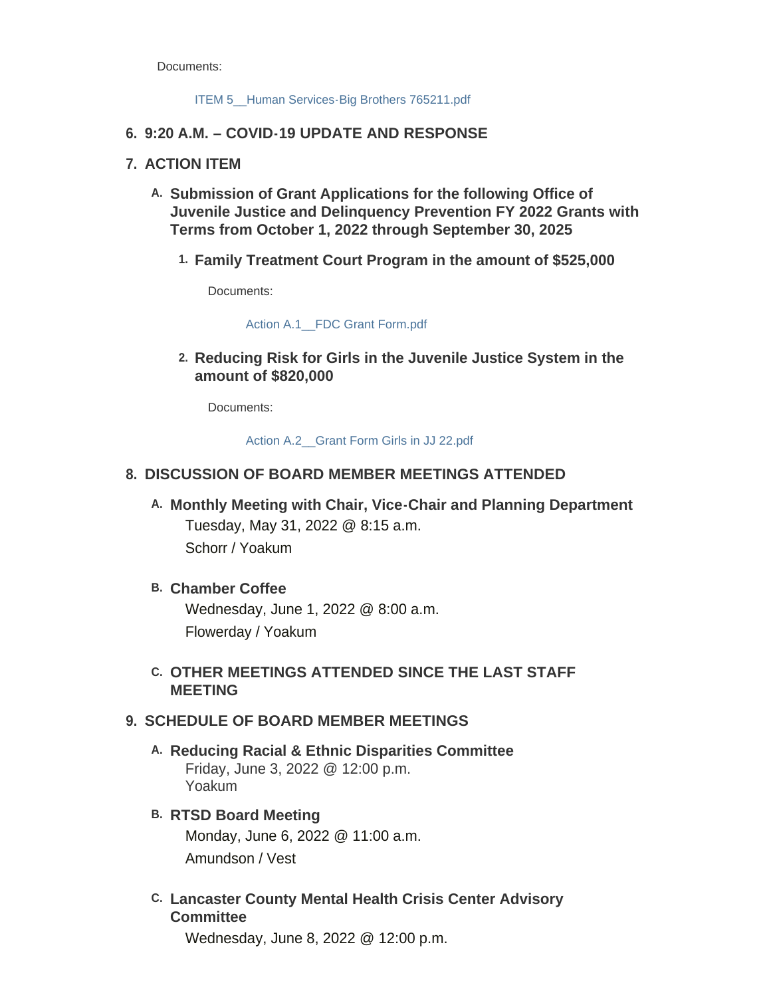Documents:

#### ITEM 5 Human Services-Big Brothers 765211.pdf

#### **9:20 A.M. – COVID-19 UPDATE AND RESPONSE 6.**

#### **ACTION ITEM 7.**

- **Submission of Grant Applications for the following Office of A. Juvenile Justice and Delinquency Prevention FY 2022 Grants with Terms from October 1, 2022 through September 30, 2025**
	- **Family Treatment Court Program in the amount of \$525,000 1.**

Documents:

[Action A.1\\_\\_FDC Grant Form.pdf](https://www.lancaster.ne.gov/AgendaCenter/ViewFile/Item/5877?fileID=8342)

**Reducing Risk for Girls in the Juvenile Justice System in the 2. amount of \$820,000**

Documents:

[Action A.2\\_\\_Grant Form Girls in JJ 22.pdf](https://www.lancaster.ne.gov/AgendaCenter/ViewFile/Item/5878?fileID=8343)

## **DISCUSSION OF BOARD MEMBER MEETINGS ATTENDED 8.**

**Monthly Meeting with Chair, Vice-Chair and Planning Department A.** Tuesday, May 31, 2022 @ 8:15 a.m. Schorr / Yoakum

#### **Chamber Coffee B.**

Wednesday, June 1, 2022 @ 8:00 a.m. Flowerday / Yoakum

## **OTHER MEETINGS ATTENDED SINCE THE LAST STAFF C. MEETING**

## **SCHEDULE OF BOARD MEMBER MEETINGS 9.**

- **Reducing Racial & Ethnic Disparities Committee A.** Friday, June 3, 2022 @ 12:00 p.m. Yoakum
- **RTSD Board Meeting B.** Monday, June 6, 2022 @ 11:00 a.m. Amundson / Vest
- **Lancaster County Mental Health Crisis Center Advisory C. Committee**

Wednesday, June 8, 2022 @ 12:00 p.m.